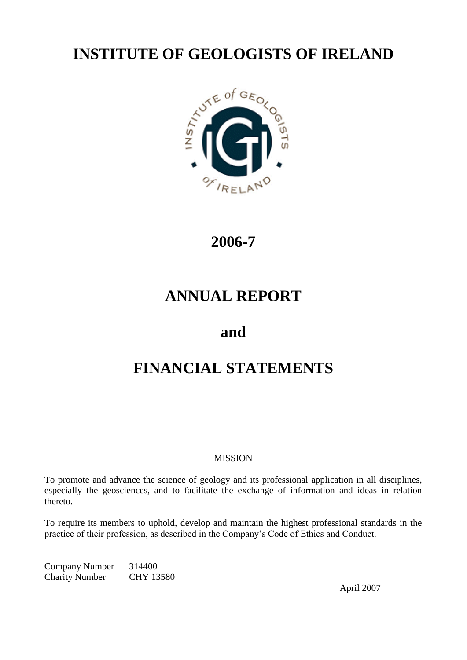# **INSTITUTE OF GEOLOGISTS OF IRELAND**



# **2006-7**

# **ANNUAL REPORT**

# **and**

# **FINANCIAL STATEMENTS**

# MISSION

To promote and advance the science of geology and its professional application in all disciplines, especially the geosciences, and to facilitate the exchange of information and ideas in relation thereto.

To require its members to uphold, develop and maintain the highest professional standards in the practice of their profession, as described in the Company's Code of Ethics and Conduct.

Company Number 314400 Charity Number CHY 13580

April 2007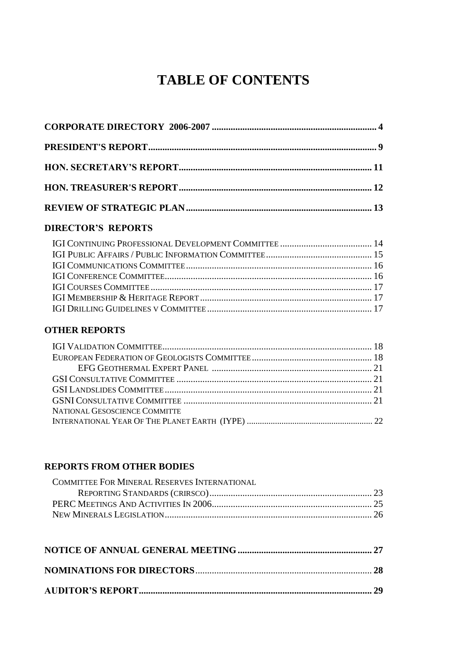# **TABLE OF CONTENTS**

# **DIRECTOR'S REPORTS**

# **OTHER REPORTS**

| NATIONAL GESOSCIENCE COMMITTE |  |
|-------------------------------|--|
|                               |  |

# **REPORTS FROM OTHER BODIES**

| COMMITTEE FOR MINERAL RESERVES INTERNATIONAL |  |
|----------------------------------------------|--|
|                                              |  |
|                                              |  |
|                                              |  |
|                                              |  |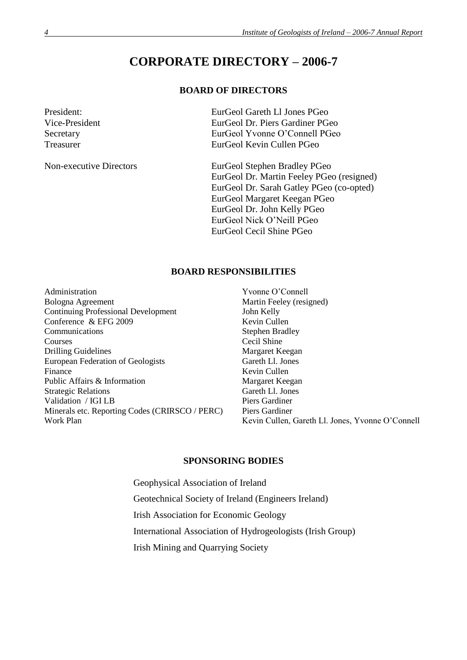# **CORPORATE DIRECTORY – 2006-7**

# **BOARD OF DIRECTORS**

President: EurGeol Gareth Ll Jones PGeo Vice-President EurGeol Dr. Piers Gardiner PGeo Secretary EurGeol Yvonne O'Connell PGeo Treasurer EurGeol Kevin Cullen PGeo

Non-executive Directors EurGeol Stephen Bradley PGeo EurGeol Dr. Martin Feeley PGeo (resigned) EurGeol Dr. Sarah Gatley PGeo (co-opted) EurGeol Margaret Keegan PGeo EurGeol Dr. John Kelly PGeo EurGeol Nick O'Neill PGeo EurGeol Cecil Shine PGeo

#### **BOARD RESPONSIBILITIES**

Administration Yvonne O'Connell Bologna Agreement Martin Feeley (resigned) Continuing Professional Development John Kelly Conference & EFG 2009 Kevin Cullen Communications Stephen Bradley Courses Cecil Shine Drilling Guidelines Margaret Keegan European Federation of Geologists Gareth Ll. Jones Finance Kevin Cullen Public Affairs & Information<br>
Strategic Relations<br>
Gareth Ll. Jones Strategic Relations Validation / IGI LB Piers Gardiner Minerals etc. Reporting Codes (CRIRSCO / PERC) Piers Gardiner

Work Plan Kevin Cullen, Gareth Ll. Jones, Yvonne O'Connell

#### **SPONSORING BODIES**

Geophysical Association of Ireland Geotechnical Society of Ireland (Engineers Ireland) Irish Association for Economic Geology International Association of Hydrogeologists (Irish Group) Irish Mining and Quarrying Society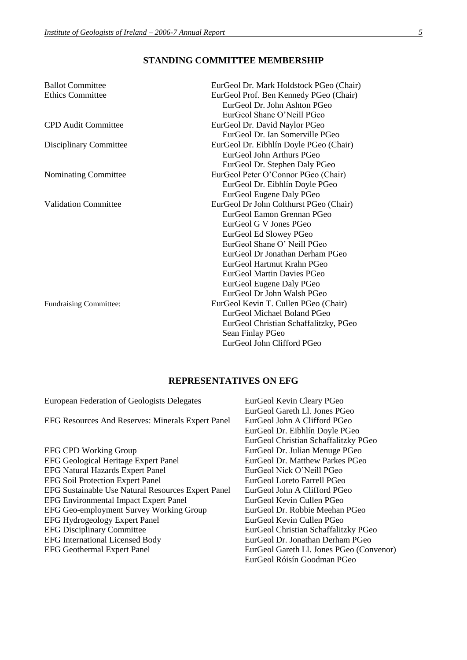# **STANDING COMMITTEE MEMBERSHIP**

| <b>Ballot Committee</b>       | EurGeol Dr. Mark Holdstock PGeo (Chair) |
|-------------------------------|-----------------------------------------|
| <b>Ethics Committee</b>       | EurGeol Prof. Ben Kennedy PGeo (Chair)  |
|                               | EurGeol Dr. John Ashton PGeo            |
|                               | EurGeol Shane O'Neill PGeo              |
| CPD Audit Committee           | EurGeol Dr. David Naylor PGeo           |
|                               | EurGeol Dr. Ian Somerville PGeo         |
| Disciplinary Committee        | EurGeol Dr. Eibhlín Doyle PGeo (Chair)  |
|                               | EurGeol John Arthurs PGeo               |
|                               | EurGeol Dr. Stephen Daly PGeo           |
| Nominating Committee          | EurGeol Peter O'Connor PGeo (Chair)     |
|                               | EurGeol Dr. Eibhlín Doyle PGeo          |
|                               | EurGeol Eugene Daly PGeo                |
| <b>Validation Committee</b>   | EurGeol Dr John Colthurst PGeo (Chair)  |
|                               | EurGeol Eamon Grennan PGeo              |
|                               | EurGeol G V Jones PGeo                  |
|                               | EurGeol Ed Slowey PGeo                  |
|                               | EurGeol Shane O' Neill PGeo             |
|                               | EurGeol Dr Jonathan Derham PGeo         |
|                               | EurGeol Hartmut Krahn PGeo              |
|                               | <b>EurGeol Martin Davies PGeo</b>       |
|                               | EurGeol Eugene Daly PGeo                |
|                               | EurGeol Dr John Walsh PGeo              |
| <b>Fundraising Committee:</b> | EurGeol Kevin T. Cullen PGeo (Chair)    |
|                               | EurGeol Michael Boland PGeo             |
|                               | EurGeol Christian Schaffalitzky, PGeo   |
|                               | Sean Finlay PGeo                        |
|                               | EurGeol John Clifford PGeo              |

# **REPRESENTATIVES ON EFG**

| European Federation of Geologists Delegates        | EurGeol Kevin Cleary PGeo                |
|----------------------------------------------------|------------------------------------------|
|                                                    | EurGeol Gareth Ll. Jones PGeo            |
| EFG Resources And Reserves: Minerals Expert Panel  | EurGeol John A Clifford PGeo             |
|                                                    | EurGeol Dr. Eibhlín Doyle PGeo           |
|                                                    | EurGeol Christian Schaffalitzky PGeo     |
| <b>EFG CPD Working Group</b>                       | EurGeol Dr. Julian Menuge PGeo           |
| <b>EFG Geological Heritage Expert Panel</b>        | EurGeol Dr. Matthew Parkes PGeo          |
| <b>EFG Natural Hazards Expert Panel</b>            | EurGeol Nick O'Neill PGeo                |
| <b>EFG Soil Protection Expert Panel</b>            | EurGeol Loreto Farrell PGeo              |
| EFG Sustainable Use Natural Resources Expert Panel | EurGeol John A Clifford PGeo             |
| <b>EFG Environmental Impact Expert Panel</b>       | EurGeol Kevin Cullen PGeo                |
| EFG Geo-employment Survey Working Group            | EurGeol Dr. Robbie Meehan PGeo           |
| <b>EFG Hydrogeology Expert Panel</b>               | EurGeol Kevin Cullen PGeo                |
| <b>EFG Disciplinary Committee</b>                  | EurGeol Christian Schaffalitzky PGeo     |
| <b>EFG</b> International Licensed Body             | EurGeol Dr. Jonathan Derham PGeo         |
| <b>EFG Geothermal Expert Panel</b>                 | EurGeol Gareth Ll. Jones PGeo (Convenor) |
|                                                    | EurGeol Róisín Goodman PGeo              |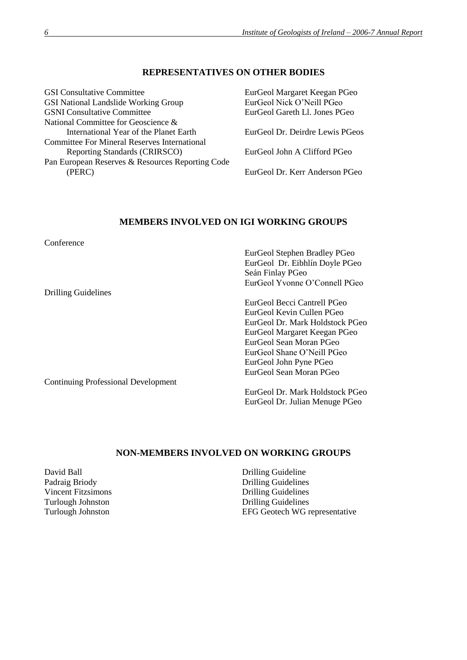## **REPRESENTATIVES ON OTHER BODIES**

| <b>GSI</b> Consultative Committee                   | EurGeol Margaret Keegan PGeo    |
|-----------------------------------------------------|---------------------------------|
| <b>GSI National Landslide Working Group</b>         | EurGeol Nick O'Neill PGeo       |
| <b>GSNI</b> Consultative Committee                  | EurGeol Gareth Ll. Jones PGeo   |
| National Committee for Geoscience &                 |                                 |
| International Year of the Planet Earth              | EurGeol Dr. Deirdre Lewis PGeos |
| <b>Committee For Mineral Reserves International</b> |                                 |
| Reporting Standards (CRIRSCO)                       | EurGeol John A Clifford PGeo    |
| Pan European Reserves & Resources Reporting Code    |                                 |
| (PERC)                                              | EurGeol Dr. Kerr Anderson PGeo  |
|                                                     |                                 |

# **MEMBERS INVOLVED ON IGI WORKING GROUPS**

Conference

Drilling Guidelines

Continuing Professional Development

EurGeol Stephen Bradley PGeo EurGeol Dr. Eibhlín Doyle PGeo Seán Finlay PGeo EurGeol Yvonne O'Connell PGeo

EurGeol Becci Cantrell PGeo EurGeol Kevin Cullen PGeo EurGeol Dr. Mark Holdstock PGeo EurGeol Margaret Keegan PGeo EurGeol Sean Moran PGeo EurGeol Shane O'Neill PGeo EurGeol John Pyne PGeo EurGeol Sean Moran PGeo

EurGeol Dr. Mark Holdstock PGeo EurGeol Dr. Julian Menuge PGeo

## **NON-MEMBERS INVOLVED ON WORKING GROUPS**

David Ball Drilling Guideline<br>
Padraig Briody Drilling Guideline<br>
Drilling Guideline

**Drilling Guidelines** Vincent Fitzsimons Drilling Guidelines Turlough Johnston Drilling Guidelines Turlough Johnston EFG Geotech WG representative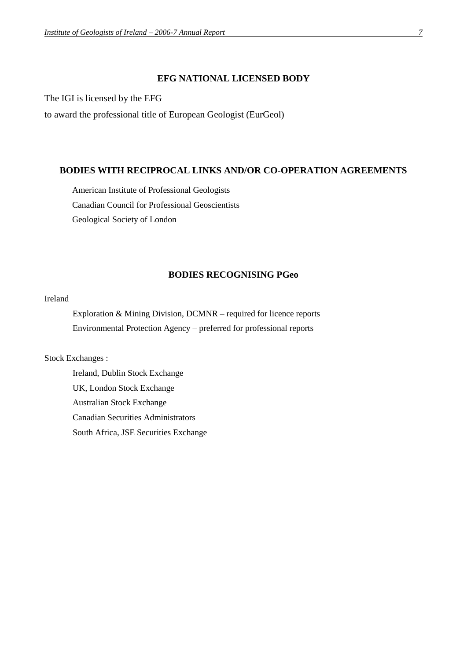#### **EFG NATIONAL LICENSED BODY**

The IGI is licensed by the EFG

to award the professional title of European Geologist (EurGeol)

#### **BODIES WITH RECIPROCAL LINKS AND/OR CO-OPERATION AGREEMENTS**

American Institute of Professional Geologists Canadian Council for Professional Geoscientists Geological Society of London

## **BODIES RECOGNISING PGeo**

## Ireland

Exploration & Mining Division, DCMNR – required for licence reports Environmental Protection Agency – preferred for professional reports

Stock Exchanges :

Ireland, Dublin Stock Exchange UK, London Stock Exchange Australian Stock Exchange Canadian Securities Administrators South Africa, JSE Securities Exchange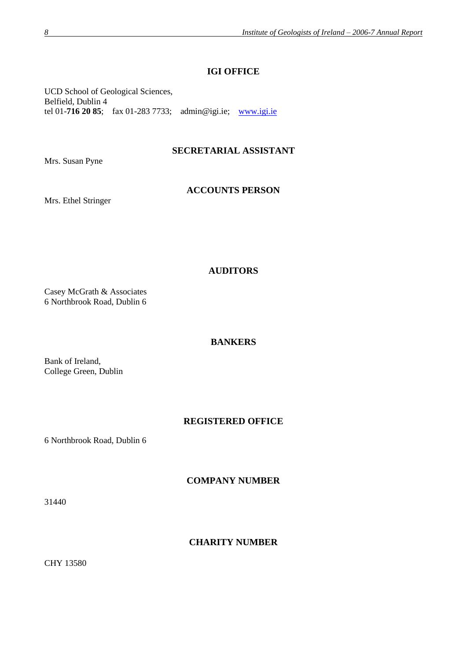# **IGI OFFICE**

UCD School of Geological Sciences, Belfield, Dublin 4 tel 01-**716 20 85**; fax 01-283 7733; admin@igi.ie; [www.igi.ie](http://www.igi.ie/)

# **SECRETARIAL ASSISTANT**

Mrs. Susan Pyne

## **ACCOUNTS PERSON**

Mrs. Ethel Stringer

# **AUDITORS**

Casey McGrath & Associates 6 Northbrook Road, Dublin 6

#### **BANKERS**

Bank of Ireland, College Green, Dublin

## **REGISTERED OFFICE**

6 Northbrook Road, Dublin 6

**COMPANY NUMBER**

31440

# **CHARITY NUMBER**

CHY 13580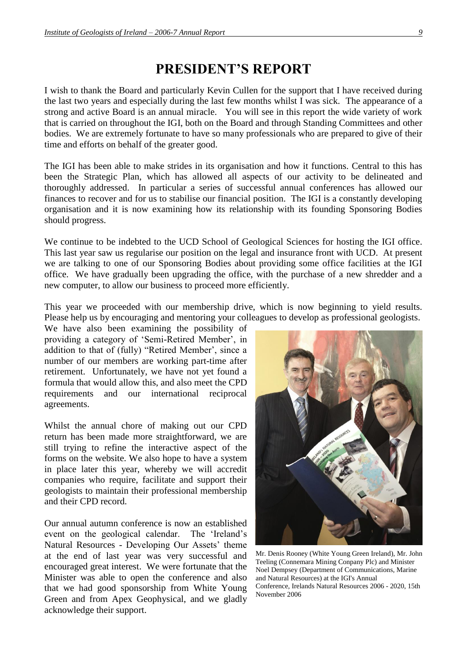# **PRESIDENT'S REPORT**

I wish to thank the Board and particularly Kevin Cullen for the support that I have received during the last two years and especially during the last few months whilst I was sick. The appearance of a strong and active Board is an annual miracle. You will see in this report the wide variety of work that is carried on throughout the IGI, both on the Board and through Standing Committees and other bodies. We are extremely fortunate to have so many professionals who are prepared to give of their time and efforts on behalf of the greater good.

The IGI has been able to make strides in its organisation and how it functions. Central to this has been the Strategic Plan, which has allowed all aspects of our activity to be delineated and thoroughly addressed. In particular a series of successful annual conferences has allowed our finances to recover and for us to stabilise our financial position. The IGI is a constantly developing organisation and it is now examining how its relationship with its founding Sponsoring Bodies should progress.

We continue to be indebted to the UCD School of Geological Sciences for hosting the IGI office. This last year saw us regularise our position on the legal and insurance front with UCD. At present we are talking to one of our Sponsoring Bodies about providing some office facilities at the IGI office. We have gradually been upgrading the office, with the purchase of a new shredder and a new computer, to allow our business to proceed more efficiently.

This year we proceeded with our membership drive, which is now beginning to yield results. Please help us by encouraging and mentoring your colleagues to develop as professional geologists.

We have also been examining the possibility of providing a category of 'Semi-Retired Member', in addition to that of (fully) "Retired Member', since a number of our members are working part-time after retirement. Unfortunately, we have not yet found a formula that would allow this, and also meet the CPD requirements and our international reciprocal agreements.

Whilst the annual chore of making out our CPD return has been made more straightforward, we are still trying to refine the interactive aspect of the forms on the website. We also hope to have a system in place later this year, whereby we will accredit companies who require, facilitate and support their geologists to maintain their professional membership and their CPD record.

Our annual autumn conference is now an established event on the geological calendar. The 'Ireland's Natural Resources - Developing Our Assets' theme at the end of last year was very successful and encouraged great interest. We were fortunate that the Minister was able to open the conference and also that we had good sponsorship from White Young Green and from Apex Geophysical, and we gladly acknowledge their support.



Mr. Denis Rooney (White Young Green Ireland), Mr. John Teeling (Connemara Mining Conpany Plc) and Minister Noel Dempsey (Department of Communications, Marine and Natural Resources) at the IGI's Annual Conference, Irelands Natural Resources 2006 - 2020, 15th November 2006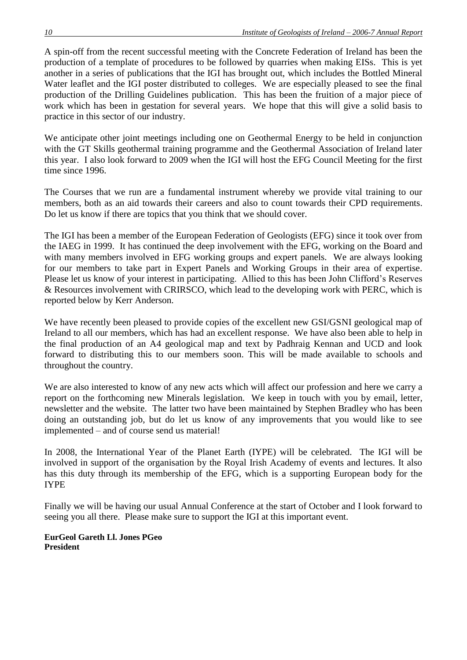A spin-off from the recent successful meeting with the Concrete Federation of Ireland has been the production of a template of procedures to be followed by quarries when making EISs. This is yet another in a series of publications that the IGI has brought out, which includes the Bottled Mineral Water leaflet and the IGI poster distributed to colleges. We are especially pleased to see the final production of the Drilling Guidelines publication. This has been the fruition of a major piece of work which has been in gestation for several years. We hope that this will give a solid basis to practice in this sector of our industry.

We anticipate other joint meetings including one on Geothermal Energy to be held in conjunction with the GT Skills geothermal training programme and the Geothermal Association of Ireland later this year. I also look forward to 2009 when the IGI will host the EFG Council Meeting for the first time since 1996.

The Courses that we run are a fundamental instrument whereby we provide vital training to our members, both as an aid towards their careers and also to count towards their CPD requirements. Do let us know if there are topics that you think that we should cover.

The IGI has been a member of the European Federation of Geologists (EFG) since it took over from the IAEG in 1999. It has continued the deep involvement with the EFG, working on the Board and with many members involved in EFG working groups and expert panels. We are always looking for our members to take part in Expert Panels and Working Groups in their area of expertise. Please let us know of your interest in participating. Allied to this has been John Clifford's Reserves & Resources involvement with CRIRSCO, which lead to the developing work with PERC, which is reported below by Kerr Anderson.

We have recently been pleased to provide copies of the excellent new GSI/GSNI geological map of Ireland to all our members, which has had an excellent response. We have also been able to help in the final production of an A4 geological map and text by Padhraig Kennan and UCD and look forward to distributing this to our members soon. This will be made available to schools and throughout the country.

We are also interested to know of any new acts which will affect our profession and here we carry a report on the forthcoming new Minerals legislation. We keep in touch with you by email, letter, newsletter and the website. The latter two have been maintained by Stephen Bradley who has been doing an outstanding job, but do let us know of any improvements that you would like to see implemented – and of course send us material!

In 2008, the International Year of the Planet Earth (IYPE) will be celebrated. The IGI will be involved in support of the organisation by the Royal Irish Academy of events and lectures. It also has this duty through its membership of the EFG, which is a supporting European body for the IYPE

Finally we will be having our usual Annual Conference at the start of October and I look forward to seeing you all there. Please make sure to support the IGI at this important event.

**EurGeol Gareth Ll. Jones PGeo President**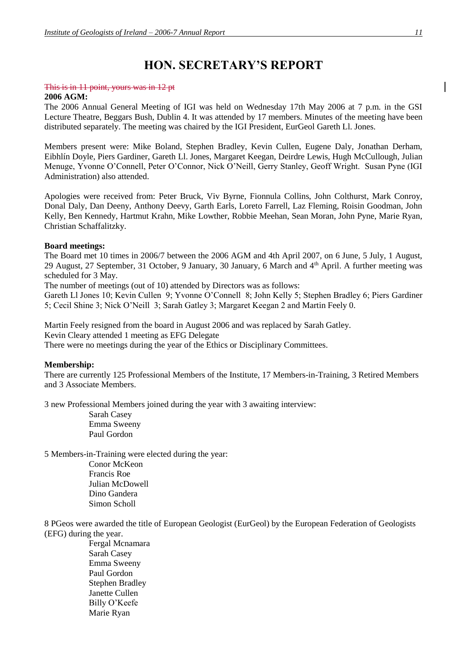# **HON. SECRETARY'S REPORT**

#### This is in 11 point, yours was in 12 pt

#### **2006 AGM:**

The 2006 Annual General Meeting of IGI was held on Wednesday 17th May 2006 at 7 p.m. in the GSI Lecture Theatre, Beggars Bush, Dublin 4. It was attended by 17 members. Minutes of the meeting have been distributed separately. The meeting was chaired by the IGI President, EurGeol Gareth Ll. Jones.

Members present were: Mike Boland, Stephen Bradley, Kevin Cullen, Eugene Daly, Jonathan Derham, Eibhlín Doyle, Piers Gardiner, Gareth Ll. Jones, Margaret Keegan, Deirdre Lewis, Hugh McCullough, Julian Menuge, Yvonne O'Connell, Peter O'Connor, Nick O'Neill, Gerry Stanley, Geoff Wright. Susan Pyne (IGI Administration) also attended.

Apologies were received from: Peter Bruck, Viv Byrne, Fionnula Collins, John Colthurst, Mark Conroy, Donal Daly, Dan Deeny, Anthony Deevy, Garth Earls, Loreto Farrell, Laz Fleming, Roisin Goodman, John Kelly, Ben Kennedy, Hartmut Krahn, Mike Lowther, Robbie Meehan, Sean Moran, John Pyne, Marie Ryan, Christian Schaffalitzky.

#### **Board meetings:**

The Board met 10 times in 2006/7 between the 2006 AGM and 4th April 2007, on 6 June, 5 July, 1 August, 29 August, 27 September, 31 October, 9 January, 30 January, 6 March and 4th April. A further meeting was scheduled for 3 May.

The number of meetings (out of 10) attended by Directors was as follows:

Gareth Ll Jones 10; Kevin Cullen 9; Yvonne O'Connell 8; John Kelly 5; Stephen Bradley 6; Piers Gardiner 5; Cecil Shine 3; Nick O'Neill 3; Sarah Gatley 3; Margaret Keegan 2 and Martin Feely 0.

Martin Feely resigned from the board in August 2006 and was replaced by Sarah Gatley. Kevin Cleary attended 1 meeting as EFG Delegate There were no meetings during the year of the Ethics or Disciplinary Committees.

#### **Membership:**

There are currently 125 Professional Members of the Institute, 17 Members-in-Training, 3 Retired Members and 3 Associate Members.

3 new Professional Members joined during the year with 3 awaiting interview:

Sarah Casey Emma Sweeny Paul Gordon

5 Members-in-Training were elected during the year: Conor McKeon Francis Roe Julian McDowell

Dino Gandera Simon Scholl

8 PGeos were awarded the title of European Geologist (EurGeol) by the European Federation of Geologists (EFG) during the year.

Fergal Mcnamara Sarah Casey Emma Sweeny Paul Gordon Stephen Bradley Janette Cullen Billy O'Keefe Marie Ryan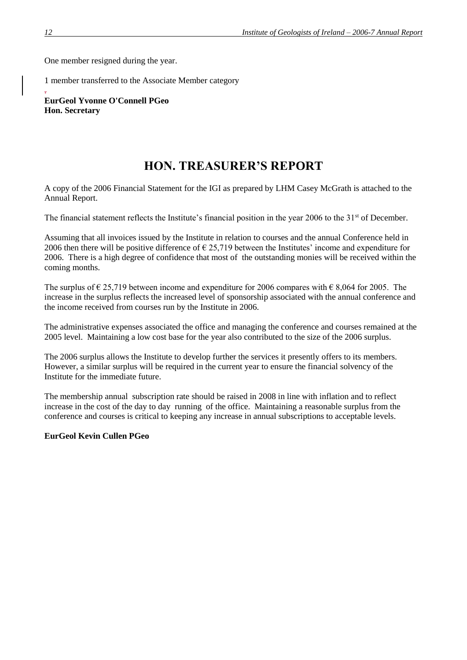One member resigned during the year.

1 member transferred to the Associate Member category

. **EurGeol Yvonne O'Connell PGeo Hon. Secretary**

# **HON. TREASURER'S REPORT**

A copy of the 2006 Financial Statement for the IGI as prepared by LHM Casey McGrath is attached to the Annual Report.

The financial statement reflects the Institute's financial position in the year 2006 to the 31<sup>st</sup> of December.

Assuming that all invoices issued by the Institute in relation to courses and the annual Conference held in 2006 then there will be positive difference of  $\epsilon$  25,719 between the Institutes' income and expenditure for 2006. There is a high degree of confidence that most of the outstanding monies will be received within the coming months.

The surplus of  $\epsilon$  25,719 between income and expenditure for 2006 compares with  $\epsilon$  8,064 for 2005. The increase in the surplus reflects the increased level of sponsorship associated with the annual conference and the income received from courses run by the Institute in 2006.

The administrative expenses associated the office and managing the conference and courses remained at the 2005 level. Maintaining a low cost base for the year also contributed to the size of the 2006 surplus.

The 2006 surplus allows the Institute to develop further the services it presently offers to its members. However, a similar surplus will be required in the current year to ensure the financial solvency of the Institute for the immediate future.

The membership annual subscription rate should be raised in 2008 in line with inflation and to reflect increase in the cost of the day to day running of the office. Maintaining a reasonable surplus from the conference and courses is critical to keeping any increase in annual subscriptions to acceptable levels.

#### **EurGeol Kevin Cullen PGeo**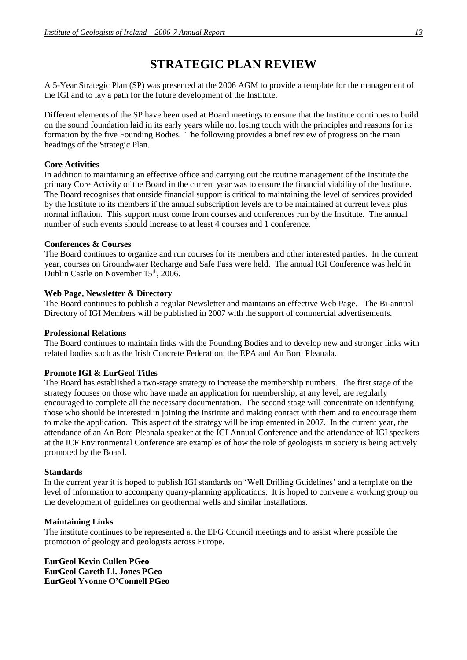# **STRATEGIC PLAN REVIEW**

A 5-Year Strategic Plan (SP) was presented at the 2006 AGM to provide a template for the management of the IGI and to lay a path for the future development of the Institute.

Different elements of the SP have been used at Board meetings to ensure that the Institute continues to build on the sound foundation laid in its early years while not losing touch with the principles and reasons for its formation by the five Founding Bodies. The following provides a brief review of progress on the main headings of the Strategic Plan.

#### **Core Activities**

In addition to maintaining an effective office and carrying out the routine management of the Institute the primary Core Activity of the Board in the current year was to ensure the financial viability of the Institute. The Board recognises that outside financial support is critical to maintaining the level of services provided by the Institute to its members if the annual subscription levels are to be maintained at current levels plus normal inflation. This support must come from courses and conferences run by the Institute. The annual number of such events should increase to at least 4 courses and 1 conference.

#### **Conferences & Courses**

The Board continues to organize and run courses for its members and other interested parties. In the current year, courses on Groundwater Recharge and Safe Pass were held. The annual IGI Conference was held in Dublin Castle on November 15<sup>th</sup>, 2006.

#### **Web Page, Newsletter & Directory**

The Board continues to publish a regular Newsletter and maintains an effective Web Page. The Bi-annual Directory of IGI Members will be published in 2007 with the support of commercial advertisements.

#### **Professional Relations**

The Board continues to maintain links with the Founding Bodies and to develop new and stronger links with related bodies such as the Irish Concrete Federation, the EPA and An Bord Pleanala.

## **Promote IGI & EurGeol Titles**

The Board has established a two-stage strategy to increase the membership numbers. The first stage of the strategy focuses on those who have made an application for membership, at any level, are regularly encouraged to complete all the necessary documentation. The second stage will concentrate on identifying those who should be interested in joining the Institute and making contact with them and to encourage them to make the application. This aspect of the strategy will be implemented in 2007. In the current year, the attendance of an An Bord Pleanala speaker at the IGI Annual Conference and the attendance of IGI speakers at the ICF Environmental Conference are examples of how the role of geologists in society is being actively promoted by the Board.

#### **Standards**

In the current year it is hoped to publish IGI standards on 'Well Drilling Guidelines' and a template on the level of information to accompany quarry-planning applications. It is hoped to convene a working group on the development of guidelines on geothermal wells and similar installations.

#### **Maintaining Links**

The institute continues to be represented at the EFG Council meetings and to assist where possible the promotion of geology and geologists across Europe.

**EurGeol Kevin Cullen PGeo EurGeol Gareth Ll. Jones PGeo EurGeol Yvonne O'Connell PGeo**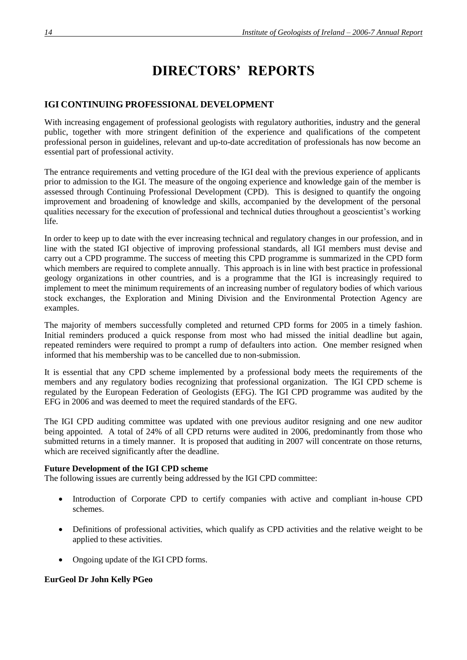# **DIRECTORS' REPORTS**

## **IGI CONTINUING PROFESSIONAL DEVELOPMENT**

With increasing engagement of professional geologists with regulatory authorities, industry and the general public, together with more stringent definition of the experience and qualifications of the competent professional person in guidelines, relevant and up-to-date accreditation of professionals has now become an essential part of professional activity.

The entrance requirements and vetting procedure of the IGI deal with the previous experience of applicants prior to admission to the IGI. The measure of the ongoing experience and knowledge gain of the member is assessed through Continuing Professional Development (CPD). This is designed to quantify the ongoing improvement and broadening of knowledge and skills, accompanied by the development of the personal qualities necessary for the execution of professional and technical duties throughout a geoscientist's working life.

In order to keep up to date with the ever increasing technical and regulatory changes in our profession, and in line with the stated IGI objective of improving professional standards, all IGI members must devise and carry out a CPD programme. The success of meeting this CPD programme is summarized in the CPD form which members are required to complete annually. This approach is in line with best practice in professional geology organizations in other countries, and is a programme that the IGI is increasingly required to implement to meet the minimum requirements of an increasing number of regulatory bodies of which various stock exchanges, the Exploration and Mining Division and the Environmental Protection Agency are examples.

The majority of members successfully completed and returned CPD forms for 2005 in a timely fashion. Initial reminders produced a quick response from most who had missed the initial deadline but again, repeated reminders were required to prompt a rump of defaulters into action. One member resigned when informed that his membership was to be cancelled due to non-submission.

It is essential that any CPD scheme implemented by a professional body meets the requirements of the members and any regulatory bodies recognizing that professional organization. The IGI CPD scheme is regulated by the European Federation of Geologists (EFG). The IGI CPD programme was audited by the EFG in 2006 and was deemed to meet the required standards of the EFG.

The IGI CPD auditing committee was updated with one previous auditor resigning and one new auditor being appointed. A total of 24% of all CPD returns were audited in 2006, predominantly from those who submitted returns in a timely manner. It is proposed that auditing in 2007 will concentrate on those returns, which are received significantly after the deadline.

#### **Future Development of the IGI CPD scheme**

The following issues are currently being addressed by the IGI CPD committee:

- Introduction of Corporate CPD to certify companies with active and compliant in-house CPD schemes.
- Definitions of professional activities, which qualify as CPD activities and the relative weight to be applied to these activities.
- Ongoing update of the IGI CPD forms.

#### **EurGeol Dr John Kelly PGeo**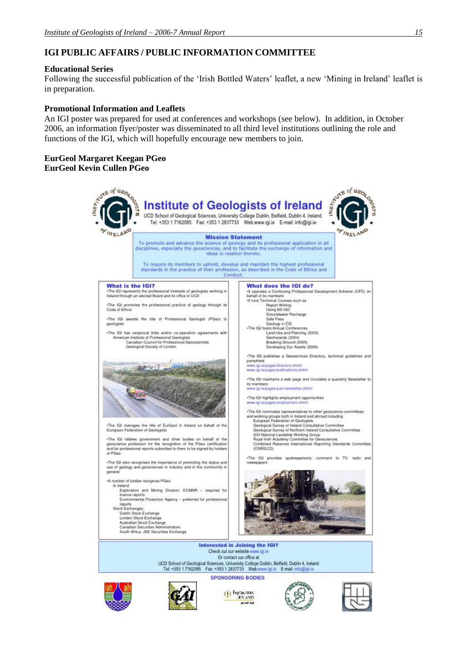# **IGI PUBLIC AFFAIRS / PUBLIC INFORMATION COMMITTEE**

#### **Educational Series**

Following the successful publication of the 'Irish Bottled Waters' leaflet, a new 'Mining in Ireland' leaflet is in preparation.

#### **Promotional Information and Leaflets**

An IGI poster was prepared for used at conferences and workshops (see below). In addition, in October 2006, an information flyer/poster was disseminated to all third level institutions outlining the role and functions of the IGI, which will hopefully encourage new members to join.

#### **EurGeol Margaret Keegan PGeo EurGeol Kevin Cullen PGeo**











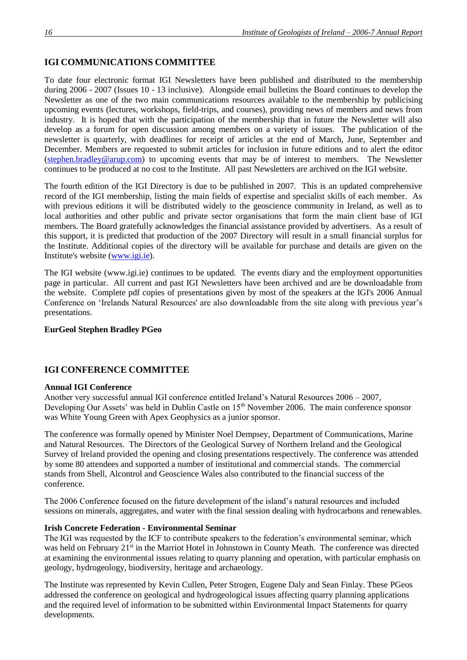# **IGI COMMUNICATIONS COMMITTEE**

To date four electronic format IGI Newsletters have been published and distributed to the membership during 2006 - 2007 (Issues 10 - 13 inclusive). Alongside email bulletins the Board continues to develop the Newsletter as one of the two main communications resources available to the membership by publicising upcoming events (lectures, workshops, field-trips, and courses), providing news of members and news from industry. It is hoped that with the participation of the membership that in future the Newsletter will also develop as a forum for open discussion among members on a variety of issues. The publication of the newsletter is quarterly, with deadlines for receipt of articles at the end of March, June, September and December. Members are requested to submit articles for inclusion in future editions and to alert the editor (stephen.bradley@arup.com) to upcoming events that may be of interest to members. The Newsletter continues to be produced at no cost to the Institute. All past Newsletters are archived on the IGI website.

The fourth edition of the IGI Directory is due to be published in 2007. This is an updated comprehensive record of the IGI membership, listing the main fields of expertise and specialist skills of each member. As with previous editions it will be distributed widely to the geoscience community in Ireland, as well as to local authorities and other public and private sector organisations that form the main client base of IGI members. The Board gratefully acknowledges the financial assistance provided by advertisers. As a result of this support, it is predicted that production of the 2007 Directory will result in a small financial surplus for the Institute. Additional copies of the directory will be available for purchase and details are given on the Institute's website (www.igi.ie).

The IGI website (www.igi.ie) continues to be updated. The events diary and the employment opportunities page in particular. All current and past IGI Newsletters have been archived and are be downloadable from the website. Complete pdf copies of presentations given by most of the speakers at the IGI's 2006 Annual Conference on 'Irelands Natural Resources' are also downloadable from the site along with previous year's presentations.

#### **EurGeol Stephen Bradley PGeo**

#### **IGI CONFERENCE COMMITTEE**

#### **Annual IGI Conference**

Another very successful annual IGI conference entitled Ireland's Natural Resources 2006 – 2007, Developing Our Assets' was held in Dublin Castle on 15<sup>th</sup> November 2006. The main conference sponsor was White Young Green with Apex Geophysics as a junior sponsor.

The conference was formally opened by Minister Noel Dempsey, Department of Communications, Marine and Natural Resources. The Directors of the Geological Survey of Northern Ireland and the Geological Survey of Ireland provided the opening and closing presentations respectively. The conference was attended by some 80 attendees and supported a number of institutional and commercial stands. The commercial stands from Shell, Alcontrol and Geoscience Wales also contributed to the financial success of the conference.

The 2006 Conference focused on the future development of the island's natural resources and included sessions on minerals, aggregates, and water with the final session dealing with hydrocarbons and renewables.

#### **Irish Concrete Federation - Environmental Seminar**

The IGI was requested by the ICF to contribute speakers to the federation's environmental seminar, which was held on February 21<sup>st</sup> in the Marriot Hotel in Johnstown in County Meath. The conference was directed at examining the environmental issues relating to quarry planning and operation, with particular emphasis on geology, hydrogeology, biodiversity, heritage and archaeology.

The Institute was represented by Kevin Cullen, Peter Strogen, Eugene Daly and Sean Finlay. These PGeos addressed the conference on geological and hydrogeological issues affecting quarry planning applications and the required level of information to be submitted within Environmental Impact Statements for quarry developments.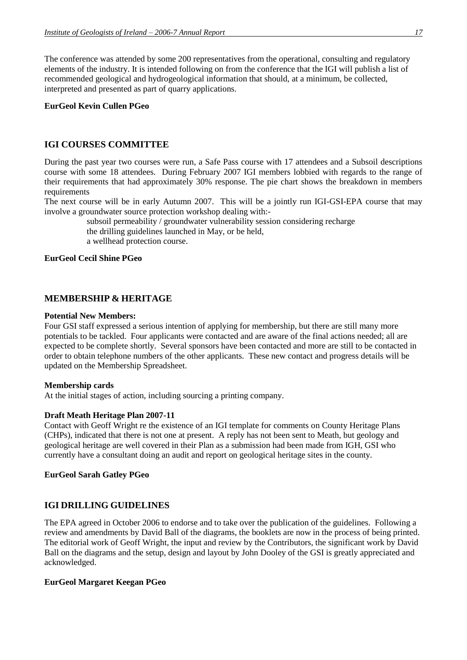The conference was attended by some 200 representatives from the operational, consulting and regulatory elements of the industry. It is intended following on from the conference that the IGI will publish a list of recommended geological and hydrogeological information that should, at a minimum, be collected, interpreted and presented as part of quarry applications.

#### **EurGeol Kevin Cullen PGeo**

# **IGI COURSES COMMITTEE**

During the past year two courses were run, a Safe Pass course with 17 attendees and a Subsoil descriptions course with some 18 attendees. During February 2007 IGI members lobbied with regards to the range of their requirements that had approximately 30% response. The pie chart shows the breakdown in members requirements

The next course will be in early Autumn 2007. This will be a jointly run IGI-GSI-EPA course that may involve a groundwater source protection workshop dealing with:-

> subsoil permeability / groundwater vulnerability session considering recharge the drilling guidelines launched in May, or be held, a wellhead protection course.

#### **EurGeol Cecil Shine PGeo**

# **MEMBERSHIP & HERITAGE**

#### **Potential New Members:**

Four GSI staff expressed a serious intention of applying for membership, but there are still many more potentials to be tackled. Four applicants were contacted and are aware of the final actions needed; all are expected to be complete shortly. Several sponsors have been contacted and more are still to be contacted in order to obtain telephone numbers of the other applicants. These new contact and progress details will be updated on the Membership Spreadsheet.

#### **Membership cards**

At the initial stages of action, including sourcing a printing company.

#### **Draft Meath Heritage Plan 2007-11**

Contact with Geoff Wright re the existence of an IGI template for comments on County Heritage Plans (CHPs), indicated that there is not one at present. A reply has not been sent to Meath, but geology and geological heritage are well covered in their Plan as a submission had been made from IGH, GSI who currently have a consultant doing an audit and report on geological heritage sites in the county.

#### **EurGeol Sarah Gatley PGeo**

## **IGI DRILLING GUIDELINES**

The EPA agreed in October 2006 to endorse and to take over the publication of the guidelines. Following a review and amendments by David Ball of the diagrams, the booklets are now in the process of being printed. The editorial work of Geoff Wright, the input and review by the Contributors, the significant work by David Ball on the diagrams and the setup, design and layout by John Dooley of the GSI is greatly appreciated and acknowledged.

#### **EurGeol Margaret Keegan PGeo**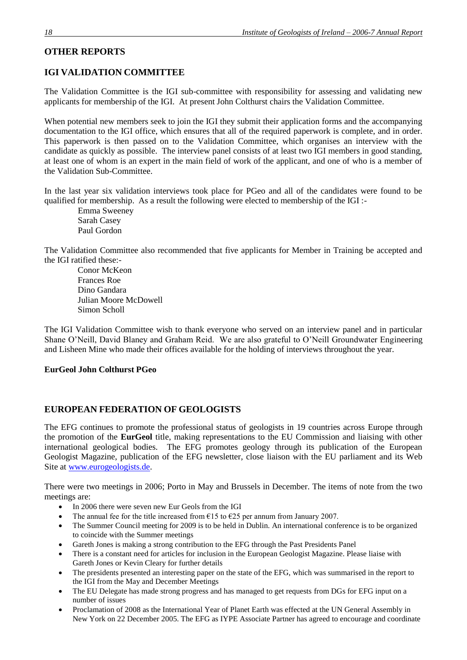# **OTHER REPORTS**

# **IGI VALIDATION COMMITTEE**

The Validation Committee is the IGI sub-committee with responsibility for assessing and validating new applicants for membership of the IGI. At present John Colthurst chairs the Validation Committee.

When potential new members seek to join the IGI they submit their application forms and the accompanying documentation to the IGI office, which ensures that all of the required paperwork is complete, and in order. This paperwork is then passed on to the Validation Committee, which organises an interview with the candidate as quickly as possible. The interview panel consists of at least two IGI members in good standing, at least one of whom is an expert in the main field of work of the applicant, and one of who is a member of the Validation Sub-Committee.

In the last year six validation interviews took place for PGeo and all of the candidates were found to be qualified for membership. As a result the following were elected to membership of the IGI :-

Emma Sweeney Sarah Casey Paul Gordon

The Validation Committee also recommended that five applicants for Member in Training be accepted and the IGI ratified these:-

Conor McKeon Frances Roe Dino Gandara Julian Moore McDowell Simon Scholl

The IGI Validation Committee wish to thank everyone who served on an interview panel and in particular Shane O'Neill, David Blaney and Graham Reid. We are also grateful to O'Neill Groundwater Engineering and Lisheen Mine who made their offices available for the holding of interviews throughout the year.

## **EurGeol John Colthurst PGeo**

# **EUROPEAN FEDERATION OF GEOLOGISTS**

The EFG continues to promote the professional status of geologists in 19 countries across Europe through the promotion of the **EurGeol** title, making representations to the EU Commission and liaising with other international geological bodies. The EFG promotes geology through its publication of the European Geologist Magazine, publication of the EFG newsletter, close liaison with the EU parliament and its Web Site at [www.eurogeologists.de.](http://www.eurogeologists.de/)

There were two meetings in 2006; Porto in May and Brussels in December. The items of note from the two meetings are:

- In 2006 there were seven new Eur Geols from the IGI
- The annual fee for the title increased from  $\epsilon$ 15 to  $\epsilon$ 25 per annum from January 2007.
- The Summer Council meeting for 2009 is to be held in Dublin. An international conference is to be organized to coincide with the Summer meetings
- Gareth Jones is making a strong contribution to the EFG through the Past Presidents Panel
- There is a constant need for articles for inclusion in the European Geologist Magazine. Please liaise with Gareth Jones or Kevin Cleary for further details
- The presidents presented an interesting paper on the state of the EFG, which was summarised in the report to the IGI from the May and December Meetings
- The EU Delegate has made strong progress and has managed to get requests from DGs for EFG input on a number of issues
- Proclamation of 2008 as the International Year of Planet Earth was effected at the UN General Assembly in New York on 22 December 2005. The EFG as IYPE Associate Partner has agreed to encourage and coordinate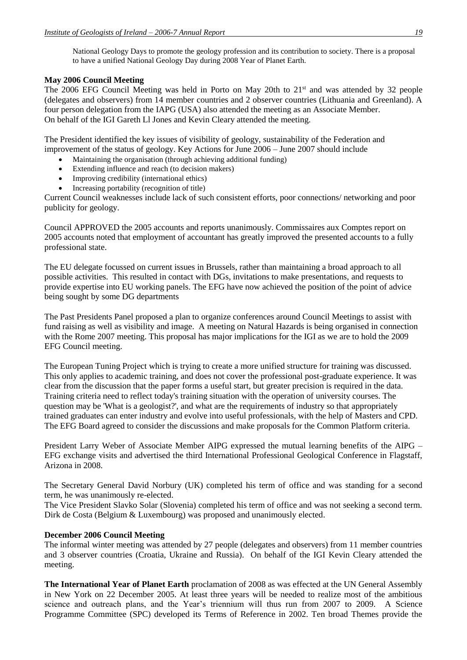National Geology Days to promote the geology profession and its contribution to society. There is a proposal to have a unified National Geology Day during 2008 Year of Planet Earth.

#### **May 2006 Council Meeting**

The 2006 EFG Council Meeting was held in Porto on May 20th to 21<sup>st</sup> and was attended by 32 people (delegates and observers) from 14 member countries and 2 observer countries (Lithuania and Greenland). A four person delegation from the IAPG (USA) also attended the meeting as an Associate Member. On behalf of the IGI Gareth Ll Jones and Kevin Cleary attended the meeting.

The President identified the key issues of visibility of geology, sustainability of the Federation and improvement of the status of geology. Key Actions for June 2006 – June 2007 should include

- Maintaining the organisation (through achieving additional funding)
- Extending influence and reach (to decision makers)
- Improving credibility (international ethics)
- Increasing portability (recognition of title)

Current Council weaknesses include lack of such consistent efforts, poor connections/ networking and poor publicity for geology.

Council APPROVED the 2005 accounts and reports unanimously. Commissaires aux Comptes report on 2005 accounts noted that employment of accountant has greatly improved the presented accounts to a fully professional state.

The EU delegate focussed on current issues in Brussels, rather than maintaining a broad approach to all possible activities. This resulted in contact with DGs, invitations to make presentations, and requests to provide expertise into EU working panels. The EFG have now achieved the position of the point of advice being sought by some DG departments

The Past Presidents Panel proposed a plan to organize conferences around Council Meetings to assist with fund raising as well as visibility and image. A meeting on Natural Hazards is being organised in connection with the Rome 2007 meeting. This proposal has major implications for the IGI as we are to hold the 2009 EFG Council meeting.

The European Tuning Project which is trying to create a more unified structure for training was discussed. This only applies to academic training, and does not cover the professional post-graduate experience. It was clear from the discussion that the paper forms a useful start, but greater precision is required in the data. Training criteria need to reflect today's training situation with the operation of university courses. The question may be 'What is a geologist?', and what are the requirements of industry so that appropriately trained graduates can enter industry and evolve into useful professionals, with the help of Masters and CPD. The EFG Board agreed to consider the discussions and make proposals for the Common Platform criteria.

President Larry Weber of Associate Member AIPG expressed the mutual learning benefits of the AIPG – EFG exchange visits and advertised the third International Professional Geological Conference in Flagstaff, Arizona in 2008.

The Secretary General David Norbury (UK) completed his term of office and was standing for a second term, he was unanimously re-elected.

The Vice President Slavko Solar (Slovenia) completed his term of office and was not seeking a second term. Dirk de Costa (Belgium & Luxembourg) was proposed and unanimously elected.

#### **December 2006 Council Meeting**

The informal winter meeting was attended by 27 people (delegates and observers) from 11 member countries and 3 observer countries (Croatia, Ukraine and Russia). On behalf of the IGI Kevin Cleary attended the meeting.

**The International Year of Planet Earth** proclamation of 2008 as was effected at the UN General Assembly in New York on 22 December 2005. At least three years will be needed to realize most of the ambitious science and outreach plans, and the Year's triennium will thus run from 2007 to 2009. A Science Programme Committee (SPC) developed its Terms of Reference in 2002. Ten broad Themes provide the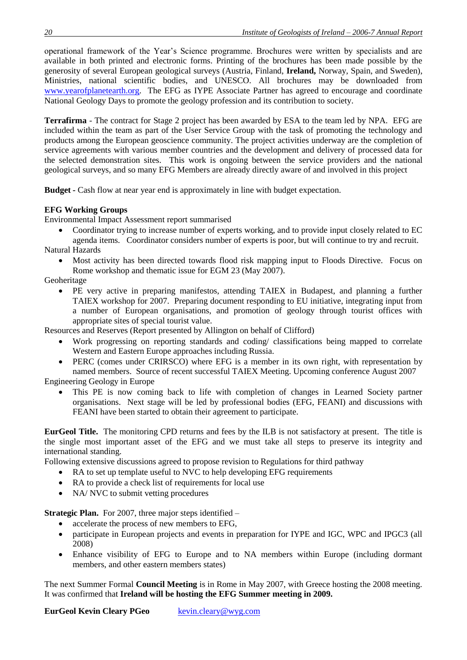operational framework of the Year's Science programme. Brochures were written by specialists and are available in both printed and electronic forms. Printing of the brochures has been made possible by the generosity of several European geological surveys (Austria, Finland, **Ireland,** Norway, Spain, and Sweden), Ministries, national scientific bodies, and UNESCO. All brochures may be downloaded from [www.yearofplanetearth.org.](http://www.yearofplanetearth.org/) The EFG as IYPE Associate Partner has agreed to encourage and coordinate National Geology Days to promote the geology profession and its contribution to society.

**Terrafirma** - The contract for Stage 2 project has been awarded by ESA to the team led by NPA. EFG are included within the team as part of the User Service Group with the task of promoting the technology and products among the European geoscience community. The project activities underway are the completion of service agreements with various member countries and the development and delivery of processed data for the selected demonstration sites. This work is ongoing between the service providers and the national geological surveys, and so many EFG Members are already directly aware of and involved in this project

**Budget -** Cash flow at near year end is approximately in line with budget expectation.

# **EFG Working Groups**

Environmental Impact Assessment report summarised

- Coordinator trying to increase number of experts working, and to provide input closely related to EC agenda items. Coordinator considers number of experts is poor, but will continue to try and recruit.
- Natural Hazards
	- Most activity has been directed towards flood risk mapping input to Floods Directive. Focus on Rome workshop and thematic issue for EGM 23 (May 2007).

Geoheritage

• PE very active in preparing manifestos, attending TAIEX in Budapest, and planning a further TAIEX workshop for 2007. Preparing document responding to EU initiative, integrating input from a number of European organisations, and promotion of geology through tourist offices with appropriate sites of special tourist value.

Resources and Reserves (Report presented by Allington on behalf of Clifford)

- Work progressing on reporting standards and coding/ classifications being mapped to correlate Western and Eastern Europe approaches including Russia.
- PERC (comes under CRIRSCO) where EFG is a member in its own right, with representation by named members. Source of recent successful TAIEX Meeting. Upcoming conference August 2007 Engineering Geology in Europe
	- This PE is now coming back to life with completion of changes in Learned Society partner organisations. Next stage will be led by professional bodies (EFG, FEANI) and discussions with FEANI have been started to obtain their agreement to participate.

**EurGeol Title.** The monitoring CPD returns and fees by the ILB is not satisfactory at present. The title is the single most important asset of the EFG and we must take all steps to preserve its integrity and international standing.

Following extensive discussions agreed to propose revision to Regulations for third pathway

- RA to set up template useful to NVC to help developing EFG requirements
- RA to provide a check list of requirements for local use
- NA/ NVC to submit vetting procedures

**Strategic Plan.** For 2007, three major steps identified –

- accelerate the process of new members to EFG,
- participate in European projects and events in preparation for IYPE and IGC, WPC and IPGC3 (all 2008)
- Enhance visibility of EFG to Europe and to NA members within Europe (including dormant members, and other eastern members states)

The next Summer Formal **Council Meeting** is in Rome in May 2007, with Greece hosting the 2008 meeting. It was confirmed that **Ireland will be hosting the EFG Summer meeting in 2009.**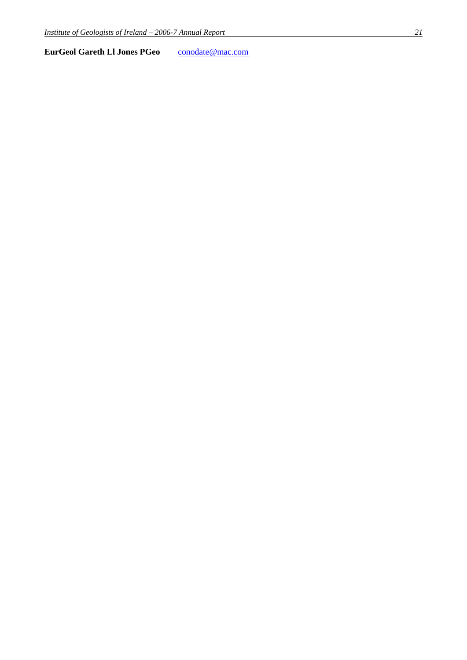**EurGeol Gareth Ll Jones PGeo** [conodate@mac.com](mailto:conodate@mac.com)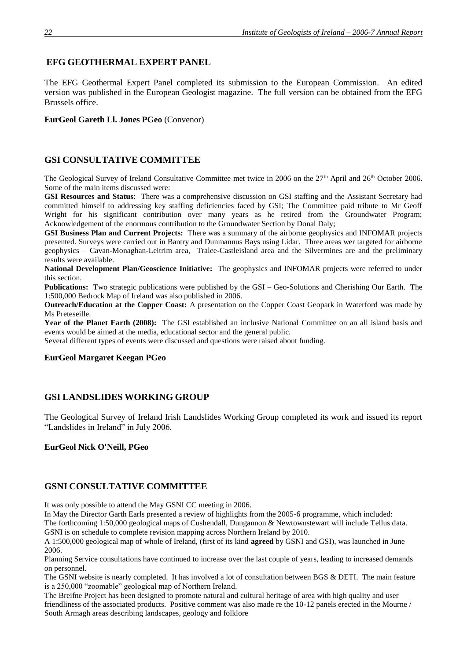# **EFG GEOTHERMAL EXPERT PANEL**

The EFG Geothermal Expert Panel completed its submission to the European Commission. An edited version was published in the European Geologist magazine. The full version can be obtained from the EFG Brussels office.

#### **EurGeol Gareth Ll. Jones PGeo** (Convenor)

# **GSI CONSULTATIVE COMMITTEE**

The Geological Survey of Ireland Consultative Committee met twice in 2006 on the 27<sup>th</sup> April and 26<sup>th</sup> October 2006. Some of the main items discussed were:

**GSI Resources and Status**: There was a comprehensive discussion on GSI staffing and the Assistant Secretary had committed himself to addressing key staffing deficiencies faced by GSI; The Committee paid tribute to Mr Geoff Wright for his significant contribution over many years as he retired from the Groundwater Program; Acknowledgement of the enormous contribution to the Groundwater Section by Donal Daly;

**GSI Business Plan and Current Projects:** There was a summary of the airborne geophysics and INFOMAR projects presented. Surveys were carried out in Bantry and Dunmannus Bays using Lidar. Three areas wer targeted for airborne geophysics – Cavan-Monaghan-Leitrim area, Tralee-Castleisland area and the Silvermines are and the preliminary results were available.

**National Development Plan/Geoscience Initiative:** The geophysics and INFOMAR projects were referred to under this section.

**Publications:** Two strategic publications were published by the GSI – Geo-Solutions and Cherishing Our Earth. The 1:500,000 Bedrock Map of Ireland was also published in 2006.

**Outreach/Education at the Copper Coast:** A presentation on the Copper Coast Geopark in Waterford was made by Ms Preteseille.

Year of the Planet Earth (2008): The GSI established an inclusive National Committee on an all island basis and events would be aimed at the media, educational sector and the general public.

Several different types of events were discussed and questions were raised about funding.

#### **EurGeol Margaret Keegan PGeo**

# **GSI LANDSLIDES WORKING GROUP**

The Geological Survey of Ireland Irish Landslides Working Group completed its work and issued its report "Landslides in Ireland" in July 2006.

#### **EurGeol Nick O'Neill, PGeo**

## **GSNI CONSULTATIVE COMMITTEE**

It was only possible to attend the May GSNI CC meeting in 2006.

In May the Director Garth Earls presented a review of highlights from the 2005-6 programme, which included: The forthcoming 1:50,000 geological maps of Cushendall, Dungannon & Newtownstewart will include Tellus data. GSNI is on schedule to complete revision mapping across Northern Ireland by 2010.

A 1:500,000 geological map of whole of Ireland, (first of its kind **agreed** by GSNI and GSI), was launched in June 2006.

Planning Service consultations have continued to increase over the last couple of years, leading to increased demands on personnel.

The GSNI website is nearly completed. It has involved a lot of consultation between BGS & DETI. The main feature is a 250,000 "zoomable" geological map of Northern Ireland.

The Breifne Project has been designed to promote natural and cultural heritage of area with high quality and user friendliness of the associated products. Positive comment was also made re the 10-12 panels erected in the Mourne / South Armagh areas describing landscapes, geology and folklore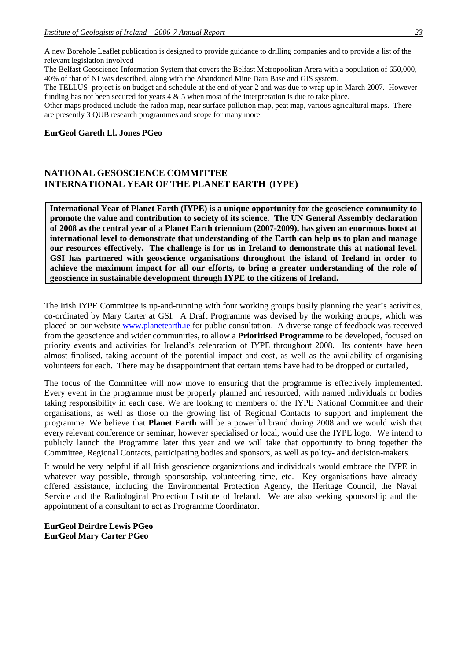A new Borehole Leaflet publication is designed to provide guidance to drilling companies and to provide a list of the relevant legislation involved

The Belfast Geoscience Information System that covers the Belfast Metropoolitan Arera with a population of 650,000, 40% of that of NI was described, along with the Abandoned Mine Data Base and GIS system.

The TELLUS project is on budget and schedule at the end of year 2 and was due to wrap up in March 2007. However funding has not been secured for years 4 & 5 when most of the interpretation is due to take place.

Other maps produced include the radon map, near surface pollution map, peat map, various agricultural maps. There are presently 3 QUB research programmes and scope for many more.

#### **EurGeol Gareth Ll. Jones PGeo**

#### **NATIONAL GESOSCIENCE COMMITTEE INTERNATIONAL YEAR OF THE PLANET EARTH (IYPE)**

**International Year of Planet Earth (IYPE) is a unique opportunity for the geoscience community to promote the value and contribution to society of its science. The UN General Assembly declaration of 2008 as the central year of a Planet Earth triennium (2007-2009), has given an enormous boost at international level to demonstrate that understanding of the Earth can help us to plan and manage our resources effectively. The challenge is for us in Ireland to demonstrate this at national level. GSI has partnered with geoscience organisations throughout the island of Ireland in order to achieve the maximum impact for all our efforts, to bring a greater understanding of the role of geoscience in sustainable development through IYPE to the citizens of Ireland.**

The Irish IYPE Committee is up-and-running with four working groups busily planning the year's activities, co-ordinated by Mary Carter at GSI. A Draft Programme was devised by the working groups, which was placed on our website [www.planetearth.ie](http://www.planetearth.ie/) for public consultation. A diverse range of feedback was received from the geoscience and wider communities, to allow a **Prioritised Programme** to be developed, focused on priority events and activities for Ireland's celebration of IYPE throughout 2008. Its contents have been almost finalised, taking account of the potential impact and cost, as well as the availability of organising volunteers for each. There may be disappointment that certain items have had to be dropped or curtailed,

The focus of the Committee will now move to ensuring that the programme is effectively implemented. Every event in the programme must be properly planned and resourced, with named individuals or bodies taking responsibility in each case. We are looking to members of the IYPE National Committee and their organisations, as well as those on the growing list of Regional Contacts to support and implement the programme. We believe that **Planet Earth** will be a powerful brand during 2008 and we would wish that every relevant conference or seminar, however specialised or local, would use the IYPE logo. We intend to publicly launch the Programme later this year and we will take that opportunity to bring together the Committee, Regional Contacts, participating bodies and sponsors, as well as policy- and decision-makers.

It would be very helpful if all Irish geoscience organizations and individuals would embrace the IYPE in whatever way possible, through sponsorship, volunteering time, etc. Key organisations have already offered assistance, including the Environmental Protection Agency, the Heritage Council, the Naval Service and the Radiological Protection Institute of Ireland. We are also seeking sponsorship and the appointment of a consultant to act as Programme Coordinator.

**EurGeol Deirdre Lewis PGeo EurGeol Mary Carter PGeo**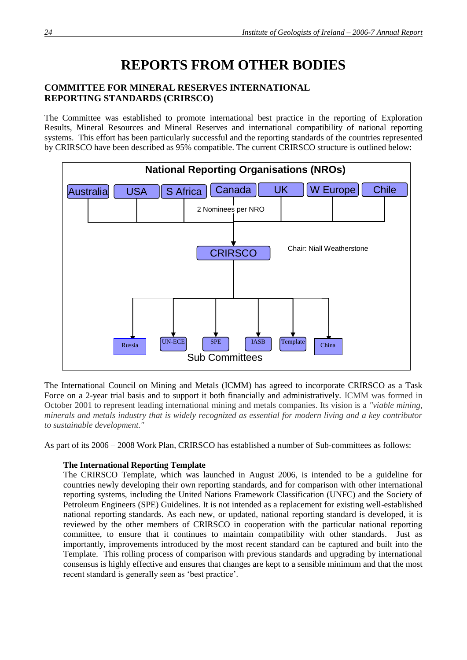# **REPORTS FROM OTHER BODIES**

# **COMMITTEE FOR MINERAL RESERVES INTERNATIONAL REPORTING STANDARDS (CRIRSCO)**

The Committee was established to promote international best practice in the reporting of Exploration Results, Mineral Resources and Mineral Reserves and international compatibility of national reporting systems. This effort has been particularly successful and the reporting standards of the countries represented by CRIRSCO have been described as 95% compatible. The current CRIRSCO structure is outlined below:



The International Council on Mining and Metals (ICMM) has agreed to incorporate CRIRSCO as a Task Force on a 2-year trial basis and to support it both financially and administratively. ICMM was formed in October 2001 to represent leading international mining and metals companies. Its vision is a *"viable mining, minerals and metals industry that is widely recognized as essential for modern living and a key contributor to sustainable development."*

As part of its 2006 – 2008 Work Plan, CRIRSCO has established a number of Sub-committees as follows:

#### **The International Reporting Template**

The CRIRSCO Template, which was launched in August 2006, is intended to be a guideline for countries newly developing their own reporting standards, and for comparison with other international reporting systems, including the United Nations Framework Classification (UNFC) and the Society of Petroleum Engineers (SPE) Guidelines. It is not intended as a replacement for existing well-established national reporting standards. As each new, or updated, national reporting standard is developed, it is reviewed by the other members of CRIRSCO in cooperation with the particular national reporting committee, to ensure that it continues to maintain compatibility with other standards. Just as importantly, improvements introduced by the most recent standard can be captured and built into the Template. This rolling process of comparison with previous standards and upgrading by international consensus is highly effective and ensures that changes are kept to a sensible minimum and that the most recent standard is generally seen as 'best practice'.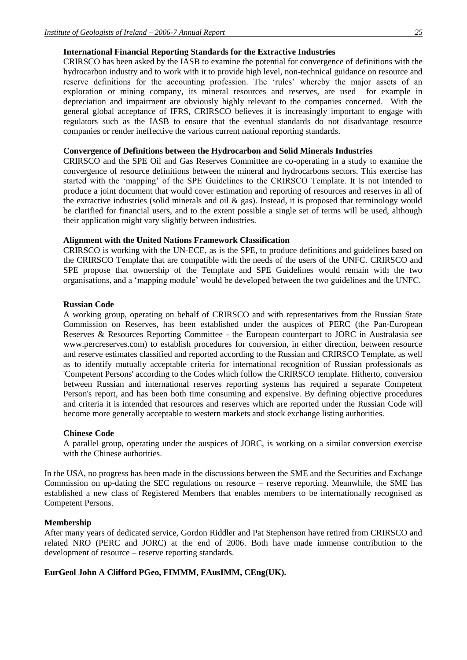#### **International Financial Reporting Standards for the Extractive Industries**

CRIRSCO has been asked by the IASB to examine the potential for convergence of definitions with the hydrocarbon industry and to work with it to provide high level, non-technical guidance on resource and reserve definitions for the accounting profession. The 'rules' whereby the major assets of an exploration or mining company, its mineral resources and reserves, are used for example in depreciation and impairment are obviously highly relevant to the companies concerned. With the general global acceptance of IFRS, CRIRSCO believes it is increasingly important to engage with regulators such as the IASB to ensure that the eventual standards do not disadvantage resource companies or render ineffective the various current national reporting standards.

#### **Convergence of Definitions between the Hydrocarbon and Solid Minerals Industries**

CRIRSCO and the SPE Oil and Gas Reserves Committee are co-operating in a study to examine the convergence of resource definitions between the mineral and hydrocarbons sectors. This exercise has started with the 'mapping' of the SPE Guidelines to the CRIRSCO Template. It is not intended to produce a joint document that would cover estimation and reporting of resources and reserves in all of the extractive industries (solid minerals and oil  $\&$  gas). Instead, it is proposed that terminology would be clarified for financial users, and to the extent possible a single set of terms will be used, although their application might vary slightly between industries.

#### **Alignment with the United Nations Framework Classification**

CRIRSCO is working with the UN-ECE, as is the SPE, to produce definitions and guidelines based on the CRIRSCO Template that are compatible with the needs of the users of the UNFC. CRIRSCO and SPE propose that ownership of the Template and SPE Guidelines would remain with the two organisations, and a 'mapping module' would be developed between the two guidelines and the UNFC.

#### **Russian Code**

A working group, operating on behalf of CRIRSCO and with representatives from the Russian State Commission on Reserves, has been established under the auspices of PERC (the Pan-European Reserves & Resources Reporting Committee - the European counterpart to JORC in Australasia see www.percreserves.com) to establish procedures for conversion, in either direction, between resource and reserve estimates classified and reported according to the Russian and CRIRSCO Template, as well as to identify mutually acceptable criteria for international recognition of Russian professionals as 'Competent Persons' according to the Codes which follow the CRIRSCO template. Hitherto, conversion between Russian and international reserves reporting systems has required a separate Competent Person's report, and has been both time consuming and expensive. By defining objective procedures and criteria it is intended that resources and reserves which are reported under the Russian Code will become more generally acceptable to western markets and stock exchange listing authorities.

#### **Chinese Code**

A parallel group, operating under the auspices of JORC, is working on a similar conversion exercise with the Chinese authorities.

In the USA, no progress has been made in the discussions between the SME and the Securities and Exchange Commission on up-dating the SEC regulations on resource – reserve reporting. Meanwhile, the SME has established a new class of Registered Members that enables members to be internationally recognised as Competent Persons.

#### **Membership**

After many years of dedicated service, Gordon Riddler and Pat Stephenson have retired from CRIRSCO and related NRO (PERC and JORC) at the end of 2006. Both have made immense contribution to the development of resource – reserve reporting standards.

#### **EurGeol John A Clifford PGeo, FIMMM, FAusIMM, CEng(UK).**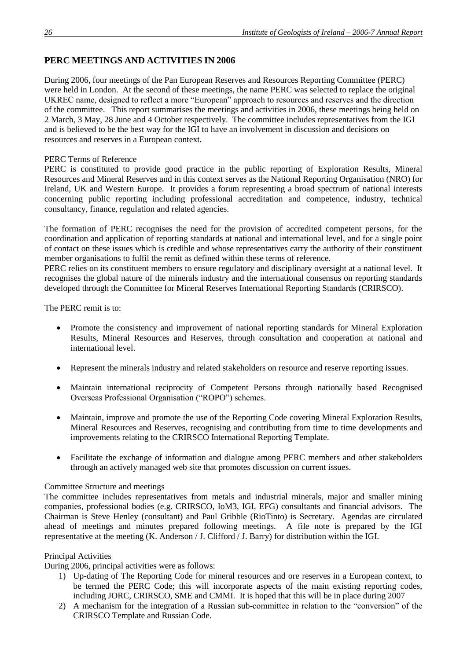# **PERC MEETINGS AND ACTIVITIES IN 2006**

During 2006, four meetings of the Pan European Reserves and Resources Reporting Committee (PERC) were held in London. At the second of these meetings, the name PERC was selected to replace the original UKREC name, designed to reflect a more "European" approach to resources and reserves and the direction of the committee. This report summarises the meetings and activities in 2006, these meetings being held on 2 March, 3 May, 28 June and 4 October respectively. The committee includes representatives from the IGI and is believed to be the best way for the IGI to have an involvement in discussion and decisions on resources and reserves in a European context.

#### PERC Terms of Reference

PERC is constituted to provide good practice in the public reporting of Exploration Results, Mineral Resources and Mineral Reserves and in this context serves as the National Reporting Organisation (NRO) for Ireland, UK and Western Europe. It provides a forum representing a broad spectrum of national interests concerning public reporting including professional accreditation and competence, industry, technical consultancy, finance, regulation and related agencies.

The formation of PERC recognises the need for the provision of accredited competent persons, for the coordination and application of reporting standards at national and international level, and for a single point of contact on these issues which is credible and whose representatives carry the authority of their constituent member organisations to fulfil the remit as defined within these terms of reference.

PERC relies on its constituent members to ensure regulatory and disciplinary oversight at a national level. It recognises the global nature of the minerals industry and the international consensus on reporting standards developed through the Committee for Mineral Reserves International Reporting Standards (CRIRSCO).

The PERC remit is to:

- Promote the consistency and improvement of national reporting standards for Mineral Exploration Results, Mineral Resources and Reserves, through consultation and cooperation at national and international level.
- Represent the minerals industry and related stakeholders on resource and reserve reporting issues.
- Maintain international reciprocity of Competent Persons through nationally based Recognised Overseas Professional Organisation ("ROPO") schemes.
- Maintain, improve and promote the use of the Reporting Code covering Mineral Exploration Results, Mineral Resources and Reserves, recognising and contributing from time to time developments and improvements relating to the CRIRSCO International Reporting Template.
- Facilitate the exchange of information and dialogue among PERC members and other stakeholders through an actively managed web site that promotes discussion on current issues.

#### Committee Structure and meetings

The committee includes representatives from metals and industrial minerals, major and smaller mining companies, professional bodies (e.g. CRIRSCO, IoM3, IGI, EFG) consultants and financial advisors. The Chairman is Steve Henley (consultant) and Paul Gribble (RioTinto) is Secretary. Agendas are circulated ahead of meetings and minutes prepared following meetings. A file note is prepared by the IGI representative at the meeting (K. Anderson / J. Clifford / J. Barry) for distribution within the IGI.

#### Principal Activities

During 2006, principal activities were as follows:

- 1) Up-dating of The Reporting Code for mineral resources and ore reserves in a European context, to be termed the PERC Code; this will incorporate aspects of the main existing reporting codes, including JORC, CRIRSCO, SME and CMMI. It is hoped that this will be in place during 2007
- 2) A mechanism for the integration of a Russian sub-committee in relation to the "conversion" of the CRIRSCO Template and Russian Code.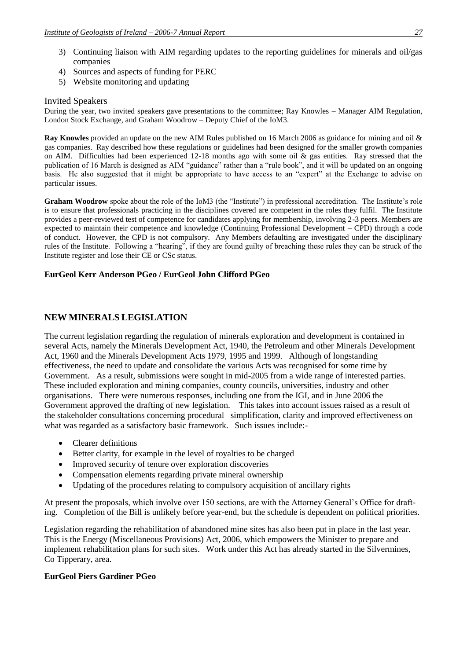- 3) Continuing liaison with AIM regarding updates to the reporting guidelines for minerals and oil/gas companies
- 4) Sources and aspects of funding for PERC
- 5) Website monitoring and updating

#### Invited Speakers

During the year, two invited speakers gave presentations to the committee; Ray Knowles – Manager AIM Regulation, London Stock Exchange, and Graham Woodrow – Deputy Chief of the IoM3.

**Ray Knowles** provided an update on the new AIM Rules published on 16 March 2006 as guidance for mining and oil & gas companies. Ray described how these regulations or guidelines had been designed for the smaller growth companies on AIM. Difficulties had been experienced 12-18 months ago with some oil  $\&$  gas entities. Ray stressed that the publication of 16 March is designed as AIM "guidance" rather than a "rule book", and it will be updated on an ongoing basis. He also suggested that it might be appropriate to have access to an "expert" at the Exchange to advise on particular issues.

Graham Woodrow spoke about the role of the IoM3 (the "Institute") in professional accreditation. The Institute's role is to ensure that professionals practicing in the disciplines covered are competent in the roles they fulfil. The Institute provides a peer-reviewed test of competence for candidates applying for membership, involving 2-3 peers. Members are expected to maintain their competence and knowledge (Continuing Professional Development – CPD) through a code of conduct. However, the CPD is not compulsory. Any Members defaulting are investigated under the disciplinary rules of the Institute. Following a "hearing", if they are found guilty of breaching these rules they can be struck of the Institute register and lose their CE or CSc status.

#### **EurGeol Kerr Anderson PGeo / EurGeol John Clifford PGeo**

## **NEW MINERALS LEGISLATION**

The current legislation regarding the regulation of minerals exploration and development is contained in several Acts, namely the Minerals Development Act, 1940, the Petroleum and other Minerals Development Act, 1960 and the Minerals Development Acts 1979, 1995 and 1999. Although of longstanding effectiveness, the need to update and consolidate the various Acts was recognised for some time by Government. As a result, submissions were sought in mid-2005 from a wide range of interested parties. These included exploration and mining companies, county councils, universities, industry and other organisations. There were numerous responses, including one from the IGI, and in June 2006 the Government approved the drafting of new legislation. This takes into account issues raised as a result of the stakeholder consultations concerning procedural simplification, clarity and improved effectiveness on what was regarded as a satisfactory basic framework. Such issues include:-

- Clearer definitions
- Better clarity, for example in the level of royalties to be charged
- Improved security of tenure over exploration discoveries
- Compensation elements regarding private mineral ownership
- Updating of the procedures relating to compulsory acquisition of ancillary rights

At present the proposals, which involve over 150 sections, are with the Attorney General's Office for drafting. Completion of the Bill is unlikely before year-end, but the schedule is dependent on political priorities.

Legislation regarding the rehabilitation of abandoned mine sites has also been put in place in the last year. This is the Energy (Miscellaneous Provisions) Act, 2006, which empowers the Minister to prepare and implement rehabilitation plans for such sites. Work under this Act has already started in the Silvermines, Co Tipperary, area.

#### **EurGeol Piers Gardiner PGeo**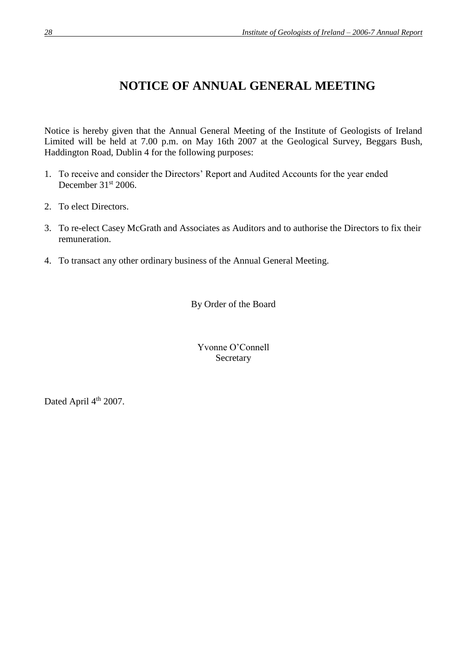# **NOTICE OF ANNUAL GENERAL MEETING**

Notice is hereby given that the Annual General Meeting of the Institute of Geologists of Ireland Limited will be held at 7.00 p.m. on May 16th 2007 at the Geological Survey, Beggars Bush, Haddington Road, Dublin 4 for the following purposes:

- 1. To receive and consider the Directors' Report and Audited Accounts for the year ended December  $31<sup>st</sup>$  2006.
- 2. To elect Directors.
- 3. To re-elect Casey McGrath and Associates as Auditors and to authorise the Directors to fix their remuneration.
- 4. To transact any other ordinary business of the Annual General Meeting.

By Order of the Board

Yvonne O'Connell Secretary

Dated April 4<sup>th</sup> 2007.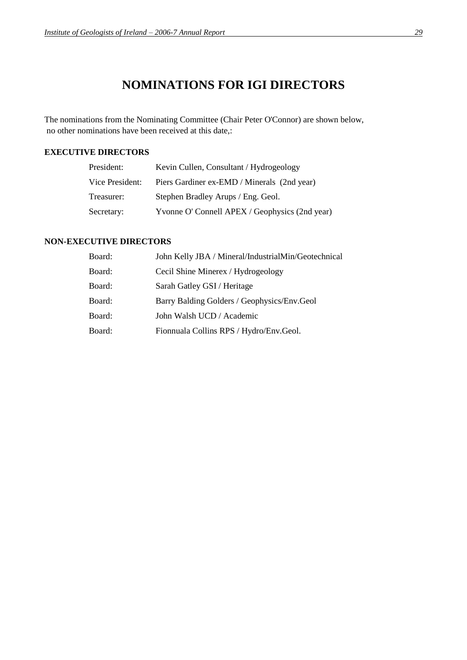# **NOMINATIONS FOR IGI DIRECTORS**

The nominations from the Nominating Committee (Chair Peter O'Connor) are shown below, no other nominations have been received at this date,:

## **EXECUTIVE DIRECTORS**

| President:      | Kevin Cullen, Consultant / Hydrogeology       |
|-----------------|-----------------------------------------------|
| Vice President: | Piers Gardiner ex-EMD / Minerals (2nd year)   |
| Treasurer:      | Stephen Bradley Arups / Eng. Geol.            |
| Secretary:      | Yvonne O'Connell APEX / Geophysics (2nd year) |

# **NON-EXECUTIVE DIRECTORS**

| Board: | John Kelly JBA / Mineral/IndustrialMin/Geotechnical |
|--------|-----------------------------------------------------|
| Board: | Cecil Shine Minerex / Hydrogeology                  |
| Board: | Sarah Gatley GSI / Heritage                         |
| Board: | Barry Balding Golders / Geophysics/Env.Geol         |
| Board: | John Walsh UCD / Academic                           |
| Board: | Fionnuala Collins RPS / Hydro/Env.Geol.             |